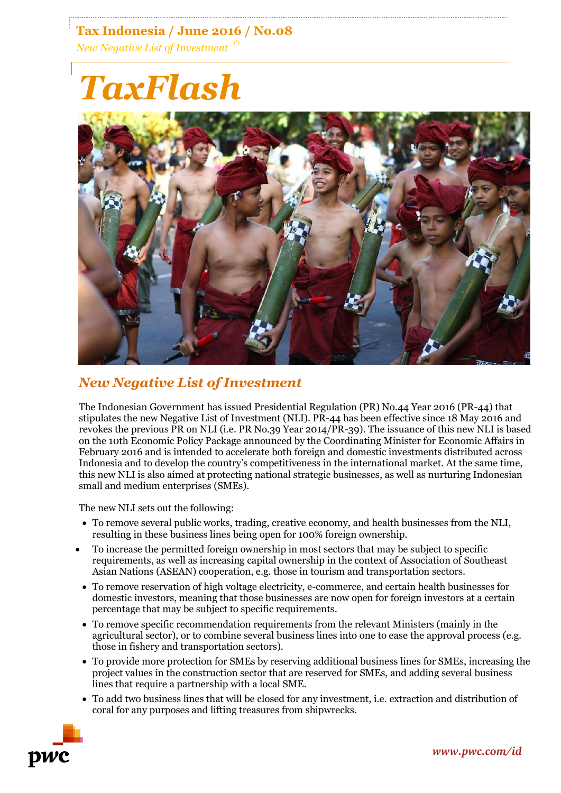# **Tax Indonesia / June 2016 / No.08**

*New Negative List of Investment P1*

# *TaxFlash*



# *New Negative List of Investment*

The Indonesian Government has issued Presidential Regulation (PR) No.44 Year 2016 (PR-44) that stipulates the new Negative List of Investment (NLI). PR-44 has been effective since 18 May 2016 and revokes the previous PR on NLI (i.e. PR No.39 Year 2014/PR-39). The issuance of this new NLI is based on the 10th Economic Policy Package announced by the Coordinating Minister for Economic Affairs in February 2016 and is intended to accelerate both foreign and domestic investments distributed across Indonesia and to develop the country's competitiveness in the international market. At the same time, this new NLI is also aimed at protecting national strategic businesses, as well as nurturing Indonesian small and medium enterprises (SMEs).

The new NLI sets out the following:

- To remove several public works, trading, creative economy, and health businesses from the NLI, resulting in these business lines being open for 100% foreign ownership.
- To increase the permitted foreign ownership in most sectors that may be subject to specific requirements, as well as increasing capital ownership in the context of Association of Southeast Asian Nations (ASEAN) cooperation, e.g. those in tourism and transportation sectors.
- To remove reservation of high voltage electricity, e-commerce, and certain health businesses for domestic investors, meaning that those businesses are now open for foreign investors at a certain percentage that may be subject to specific requirements.
- To remove specific recommendation requirements from the relevant Ministers (mainly in the agricultural sector), or to combine several business lines into one to ease the approval process (e.g. those in fishery and transportation sectors).
- To provide more protection for SMEs by reserving additional business lines for SMEs, increasing the project values in the construction sector that are reserved for SMEs, and adding several business lines that require a partnership with a local SME.
- To add two business lines that will be closed for any investment, i.e. extraction and distribution of coral for any purposes and lifting treasures from shipwrecks.

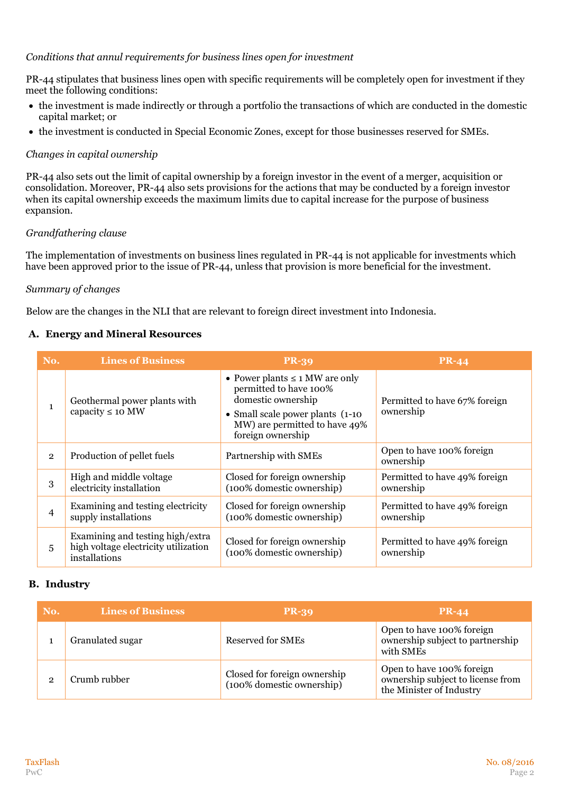#### *Conditions that annul requirements for business lines open for investment*

PR-44 stipulates that business lines open with specific requirements will be completely open for investment if they meet the following conditions:

- the investment is made indirectly or through a portfolio the transactions of which are conducted in the domestic capital market; or
- the investment is conducted in Special Economic Zones, except for those businesses reserved for SMEs.

# *Changes in capital ownership*

PR-44 also sets out the limit of capital ownership by a foreign investor in the event of a merger, acquisition or consolidation. Moreover, PR-44 also sets provisions for the actions that may be conducted by a foreign investor when its capital ownership exceeds the maximum limits due to capital increase for the purpose of business expansion.

# *Grandfathering clause*

The implementation of investments on business lines regulated in PR-44 is not applicable for investments which have been approved prior to the issue of PR-44, unless that provision is more beneficial for the investment.

#### *Summary of changes*

Below are the changes in the NLI that are relevant to foreign direct investment into Indonesia.

# **A. Energy and Mineral Resources**

| No.            | <b>Lines of Business</b>                                                                  | <b>PR-39</b>                                                                                                                                                                   | <b>PR-44</b>                               |
|----------------|-------------------------------------------------------------------------------------------|--------------------------------------------------------------------------------------------------------------------------------------------------------------------------------|--------------------------------------------|
| $\mathbf{1}$   | Geothermal power plants with<br>capacity $\leq 10$ MW                                     | • Power plants $\leq 1$ MW are only<br>permitted to have 100%<br>domestic ownership<br>• Small scale power plants (1-10)<br>MW) are permitted to have 49%<br>foreign ownership | Permitted to have 67% foreign<br>ownership |
| $\overline{2}$ | Production of pellet fuels                                                                | Partnership with SMEs                                                                                                                                                          | Open to have 100% foreign<br>ownership     |
| 3              | High and middle voltage<br>electricity installation                                       | Closed for foreign ownership<br>(100% domestic ownership)                                                                                                                      | Permitted to have 49% foreign<br>ownership |
| 4              | Examining and testing electricity<br>supply installations                                 | Closed for foreign ownership<br>(100% domestic ownership)                                                                                                                      | Permitted to have 49% foreign<br>ownership |
| 5              | Examining and testing high/extra<br>high voltage electricity utilization<br>installations | Closed for foreign ownership<br>(100% domestic ownership)                                                                                                                      | Permitted to have 49% foreign<br>ownership |

#### **B. Industry**

| No.          | <b>Lines of Business</b> | <b>PR-39</b>                                                 | <b>PR-44</b>                                                                               |
|--------------|--------------------------|--------------------------------------------------------------|--------------------------------------------------------------------------------------------|
|              | Granulated sugar         | Reserved for SMEs                                            | Open to have 100% foreign<br>ownership subject to partnership<br>with SMEs                 |
| $\mathbf{2}$ | Crumb rubber             | Closed for foreign ownership<br>$(100\%$ domestic ownership) | Open to have 100% foreign<br>ownership subject to license from<br>the Minister of Industry |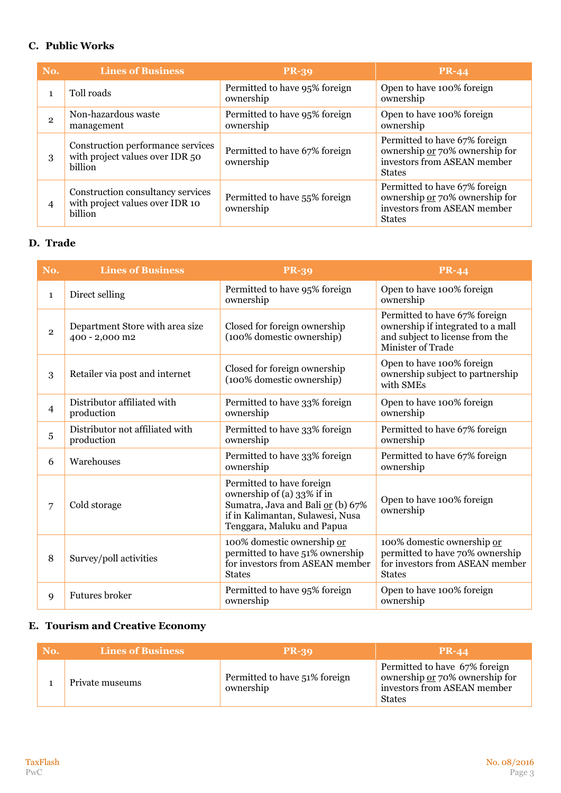# **C. Public Works**

| No.            | <b>Lines of Business</b>                                                               | <b>PR-39</b>                               | <b>PR-44</b>                                                                                                    |
|----------------|----------------------------------------------------------------------------------------|--------------------------------------------|-----------------------------------------------------------------------------------------------------------------|
| 1              | Toll roads                                                                             | Permitted to have 95% foreign<br>ownership | Open to have 100% foreign<br>ownership                                                                          |
| $\mathbf{2}$   | Non-hazardous waste<br>management                                                      | Permitted to have 95% foreign<br>ownership | Open to have 100% foreign<br>ownership                                                                          |
| 3              | Construction performance services<br>with project values over IDR 50<br><b>billion</b> | Permitted to have 67% foreign<br>ownership | Permitted to have 67% foreign<br>ownership or 70% ownership for<br>investors from ASEAN member<br><b>States</b> |
| $\overline{4}$ | Construction consultancy services<br>with project values over IDR 10<br><b>billion</b> | Permitted to have 55% foreign<br>ownership | Permitted to have 67% foreign<br>ownership or 70% ownership for<br>investors from ASEAN member<br><b>States</b> |

# **D. Trade**

| No.            | <b>Lines of Business</b>                          | <b>PR-39</b>                                                                                                                                                   | <b>PR-44</b>                                                                                                               |
|----------------|---------------------------------------------------|----------------------------------------------------------------------------------------------------------------------------------------------------------------|----------------------------------------------------------------------------------------------------------------------------|
| $\mathbf{1}$   | Direct selling                                    | Permitted to have 95% foreign<br>ownership                                                                                                                     | Open to have 100% foreign<br>ownership                                                                                     |
| $\overline{2}$ | Department Store with area size<br>400 - 2,000 m2 | Closed for foreign ownership<br>(100% domestic ownership)                                                                                                      | Permitted to have 67% foreign<br>ownership if integrated to a mall<br>and subject to license from the<br>Minister of Trade |
| 3              | Retailer via post and internet                    | Closed for foreign ownership<br>(100% domestic ownership)                                                                                                      | Open to have 100% foreign<br>ownership subject to partnership<br>with SMEs                                                 |
| $\overline{4}$ | Distributor affiliated with<br>production         | Permitted to have 33% foreign<br>ownership                                                                                                                     | Open to have 100% foreign<br>ownership                                                                                     |
| 5              | Distributor not affiliated with<br>production     | Permitted to have 33% foreign<br>ownership                                                                                                                     | Permitted to have 67% foreign<br>ownership                                                                                 |
| 6              | Warehouses                                        | Permitted to have 33% foreign<br>ownership                                                                                                                     | Permitted to have 67% foreign<br>ownership                                                                                 |
| 7              | Cold storage                                      | Permitted to have foreign<br>ownership of (a) 33% if in<br>Sumatra, Java and Bali or (b) 67%<br>if in Kalimantan, Sulawesi, Nusa<br>Tenggara, Maluku and Papua | Open to have 100% foreign<br>ownership                                                                                     |
| 8              | Survey/poll activities                            | 100% domestic ownership or<br>permitted to have 51% ownership<br>for investors from ASEAN member<br><b>States</b>                                              | 100% domestic ownership or<br>permitted to have 70% ownership<br>for investors from ASEAN member<br><b>States</b>          |
| 9              | <b>Futures broker</b>                             | Permitted to have 95% foreign<br>ownership                                                                                                                     | Open to have 100% foreign<br>ownership                                                                                     |

# **E. Tourism and Creative Economy**

| No. | <b>Lines of Business</b> | <b>PR-39</b>                               | $PR-44$                                                                                                         |
|-----|--------------------------|--------------------------------------------|-----------------------------------------------------------------------------------------------------------------|
|     | Private museums          | Permitted to have 51% foreign<br>ownership | Permitted to have 67% foreign<br>ownership or 70% ownership for<br>investors from ASEAN member<br><b>States</b> |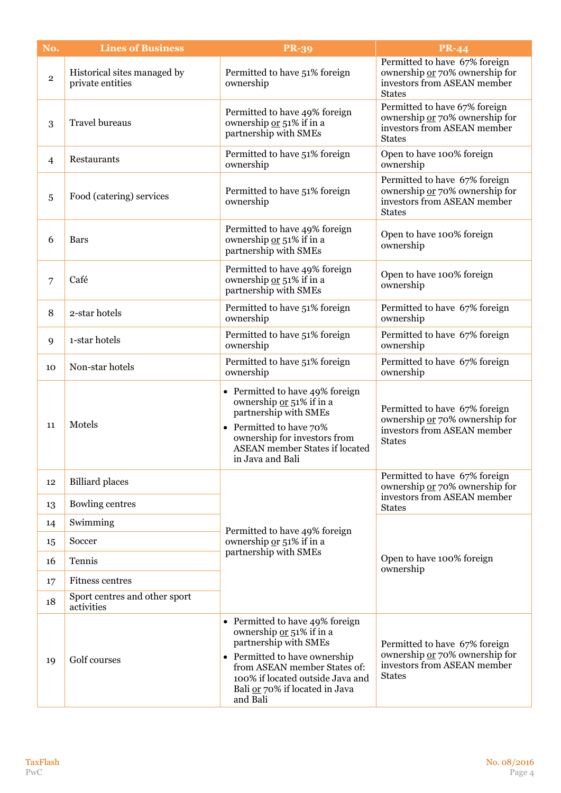| No.            | <b>Lines of Business</b>                        | <b>PR-39</b>                                                                                                                                                                                                                            | <b>PR-44</b>                                                                                                    |
|----------------|-------------------------------------------------|-----------------------------------------------------------------------------------------------------------------------------------------------------------------------------------------------------------------------------------------|-----------------------------------------------------------------------------------------------------------------|
| $\overline{2}$ | Historical sites managed by<br>private entities | Permitted to have 51% foreign<br>ownership                                                                                                                                                                                              | Permitted to have 67% foreign<br>ownership or 70% ownership for<br>investors from ASEAN member<br><b>States</b> |
| 3              | <b>Travel bureaus</b>                           | Permitted to have 49% foreign<br>ownership or 51% if in a<br>partnership with SMEs                                                                                                                                                      | Permitted to have 67% foreign<br>ownership or 70% ownership for<br>investors from ASEAN member<br><b>States</b> |
| 4              | Restaurants                                     | Permitted to have 51% foreign<br>ownership                                                                                                                                                                                              | Open to have 100% foreign<br>ownership                                                                          |
| 5              | Food (catering) services                        | Permitted to have 51% foreign<br>ownership                                                                                                                                                                                              | Permitted to have 67% foreign<br>ownership or 70% ownership for<br>investors from ASEAN member<br><b>States</b> |
| 6              | <b>Bars</b>                                     | Permitted to have 49% foreign<br>ownership or 51% if in a<br>partnership with SMEs                                                                                                                                                      | Open to have 100% foreign<br>ownership                                                                          |
| 7              | Café                                            | Permitted to have 49% foreign<br>ownership or 51% if in a<br>partnership with SMEs                                                                                                                                                      | Open to have 100% foreign<br>ownership                                                                          |
| 8              | 2-star hotels                                   | Permitted to have 51% foreign<br>ownership                                                                                                                                                                                              | Permitted to have 67% foreign<br>ownership                                                                      |
| 9              | 1-star hotels                                   | Permitted to have 51% foreign<br>ownership                                                                                                                                                                                              | Permitted to have 67% foreign<br>ownership                                                                      |
| 10             | Non-star hotels                                 | Permitted to have 51% foreign<br>ownership                                                                                                                                                                                              | Permitted to have 67% foreign<br>ownership                                                                      |
| 11             | Motels                                          | • Permitted to have 49% foreign<br>ownership or 51% if in a<br>partnership with SMEs<br>• Permitted to have 70%<br>ownership for investors from<br><b>ASEAN</b> member States if located<br>in Java and Bali                            | Permitted to have 67% foreign<br>ownership or 70% ownership for<br>investors from ASEAN member<br><b>States</b> |
| 12             | <b>Billiard</b> places                          |                                                                                                                                                                                                                                         | Permitted to have 67% foreign<br>ownership or 70% ownership for<br>investors from ASEAN member                  |
| 13             | Bowling centres                                 |                                                                                                                                                                                                                                         | <b>States</b>                                                                                                   |
| 14             | Swimming                                        | Permitted to have 49% foreign                                                                                                                                                                                                           |                                                                                                                 |
| 15             | Soccer                                          | ownership or 51% if in a<br>partnership with SMEs                                                                                                                                                                                       |                                                                                                                 |
| 16             | Tennis                                          |                                                                                                                                                                                                                                         | Open to have 100% foreign<br>ownership                                                                          |
| 17             | Fitness centres                                 |                                                                                                                                                                                                                                         |                                                                                                                 |
| 18             | Sport centres and other sport<br>activities     |                                                                                                                                                                                                                                         |                                                                                                                 |
| 19             | Golf courses                                    | • Permitted to have 49% foreign<br>ownership or 51% if in a<br>partnership with SMEs<br>• Permitted to have ownership<br>from ASEAN member States of:<br>100% if located outside Java and<br>Bali or 70% if located in Java<br>and Bali | Permitted to have 67% foreign<br>ownership or 70% ownership for<br>investors from ASEAN member<br><b>States</b> |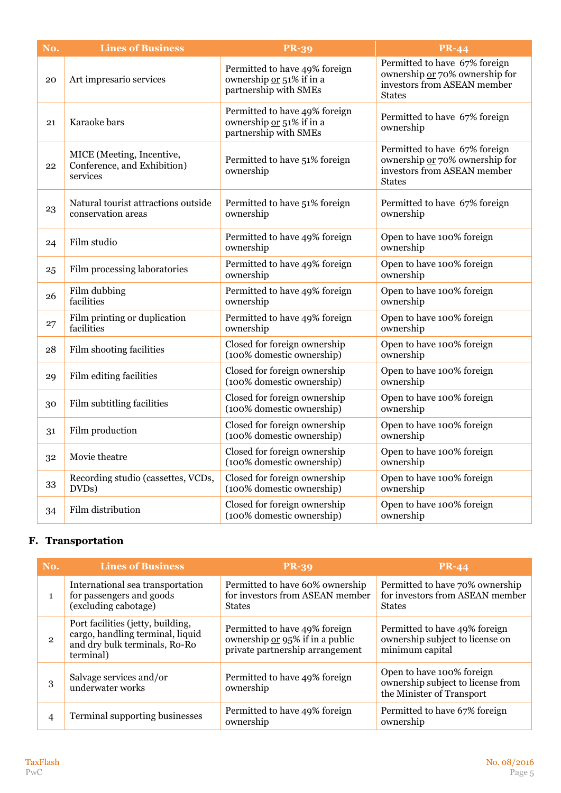| No. | <b>Lines of Business</b>                                             | <b>PR-39</b>                                                                       | <b>PR-44</b>                                                                                                    |
|-----|----------------------------------------------------------------------|------------------------------------------------------------------------------------|-----------------------------------------------------------------------------------------------------------------|
| 20  | Art impresario services                                              | Permitted to have 49% foreign<br>ownership or 51% if in a<br>partnership with SMEs | Permitted to have 67% foreign<br>ownership or 70% ownership for<br>investors from ASEAN member<br><b>States</b> |
| 21  | Karaoke bars                                                         | Permitted to have 49% foreign<br>ownership or 51% if in a<br>partnership with SMEs | Permitted to have 67% foreign<br>ownership                                                                      |
| 22  | MICE (Meeting, Incentive,<br>Conference, and Exhibition)<br>services | Permitted to have 51% foreign<br>ownership                                         | Permitted to have 67% foreign<br>ownership or 70% ownership for<br>investors from ASEAN member<br><b>States</b> |
| 23  | Natural tourist attractions outside<br>conservation areas            | Permitted to have 51% foreign<br>ownership                                         | Permitted to have 67% foreign<br>ownership                                                                      |
| 24  | Film studio                                                          | Permitted to have 49% foreign<br>ownership                                         | Open to have 100% foreign<br>ownership                                                                          |
| 25  | Film processing laboratories                                         | Permitted to have 49% foreign<br>ownership                                         | Open to have 100% foreign<br>ownership                                                                          |
| 26  | Film dubbing<br>facilities                                           | Permitted to have 49% foreign<br>ownership                                         | Open to have 100% foreign<br>ownership                                                                          |
| 27  | Film printing or duplication<br>facilities                           | Permitted to have 49% foreign<br>ownership                                         | Open to have 100% foreign<br>ownership                                                                          |
| 28  | Film shooting facilities                                             | Closed for foreign ownership<br>(100% domestic ownership)                          | Open to have 100% foreign<br>ownership                                                                          |
| 29  | Film editing facilities                                              | Closed for foreign ownership<br>(100% domestic ownership)                          | Open to have 100% foreign<br>ownership                                                                          |
| 30  | Film subtitling facilities                                           | Closed for foreign ownership<br>(100% domestic ownership)                          | Open to have 100% foreign<br>ownership                                                                          |
| 31  | Film production                                                      | Closed for foreign ownership<br>(100% domestic ownership)                          | Open to have 100% foreign<br>ownership                                                                          |
| 32  | Movie theatre                                                        | Closed for foreign ownership<br>(100% domestic ownership)                          | Open to have 100% foreign<br>ownership                                                                          |
| 33  | Recording studio (cassettes, VCDs,<br>DVDs)                          | Closed for foreign ownership<br>(100% domestic ownership)                          | Open to have 100% foreign<br>ownership                                                                          |
| 34  | Film distribution                                                    | Closed for foreign ownership<br>(100% domestic ownership)                          | Open to have 100% foreign<br>ownership                                                                          |

# **F. Transportation**

| No.            | <b>Lines of Business</b>                                                                                            | <b>PR-39</b>                                                                                        | $PR-44$                                                                                     |
|----------------|---------------------------------------------------------------------------------------------------------------------|-----------------------------------------------------------------------------------------------------|---------------------------------------------------------------------------------------------|
| $\mathbf{1}$   | International sea transportation<br>for passengers and goods<br>(excluding cabotage)                                | Permitted to have 60% ownership<br>for investors from ASEAN member<br><b>States</b>                 | Permitted to have 70% ownership<br>for investors from ASEAN member<br><b>States</b>         |
| $\overline{2}$ | Port facilities (jetty, building,<br>cargo, handling terminal, liquid<br>and dry bulk terminals, Ro-Ro<br>terminal) | Permitted to have 49% foreign<br>ownership or 95% if in a public<br>private partnership arrangement | Permitted to have 49% foreign<br>ownership subject to license on<br>minimum capital         |
| 3              | Salvage services and/or<br>underwater works                                                                         | Permitted to have 49% foreign<br>ownership                                                          | Open to have 100% foreign<br>ownership subject to license from<br>the Minister of Transport |
| 4              | <b>Terminal supporting businesses</b>                                                                               | Permitted to have 49% foreign<br>ownership                                                          | Permitted to have 67% foreign<br>ownership                                                  |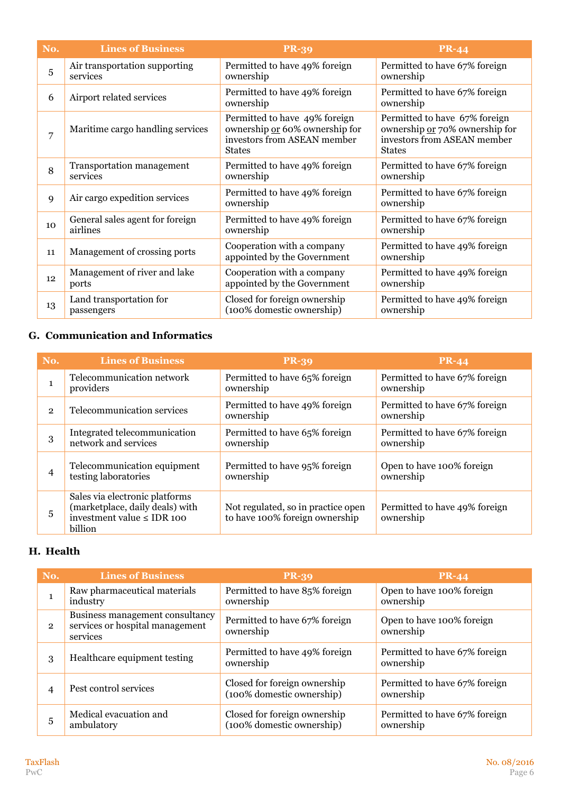| No. | <b>Lines of Business</b>         | <b>PR-39</b>                                                                                                    | <b>PR-44</b>                                                                                                    |
|-----|----------------------------------|-----------------------------------------------------------------------------------------------------------------|-----------------------------------------------------------------------------------------------------------------|
| 5   | Air transportation supporting    | Permitted to have 49% foreign                                                                                   | Permitted to have 67% foreign                                                                                   |
|     | services                         | ownership                                                                                                       | ownership                                                                                                       |
| 6   | Airport related services         | Permitted to have 49% foreign<br>ownership                                                                      | Permitted to have 67% foreign<br>ownership                                                                      |
| 7   | Maritime cargo handling services | Permitted to have 49% foreign<br>ownership or 60% ownership for<br>investors from ASEAN member<br><b>States</b> | Permitted to have 67% foreign<br>ownership or 70% ownership for<br>investors from ASEAN member<br><b>States</b> |
| 8   | <b>Transportation management</b> | Permitted to have 49% foreign                                                                                   | Permitted to have 67% foreign                                                                                   |
|     | services                         | ownership                                                                                                       | ownership                                                                                                       |
| 9   | Air cargo expedition services    | Permitted to have 49% foreign<br>ownership                                                                      | Permitted to have 67% foreign<br>ownership                                                                      |
| 10  | General sales agent for foreign  | Permitted to have 49% foreign                                                                                   | Permitted to have 67% foreign                                                                                   |
|     | airlines                         | ownership                                                                                                       | ownership                                                                                                       |
| 11  | Management of crossing ports     | Cooperation with a company<br>appointed by the Government                                                       | Permitted to have 49% foreign<br>ownership                                                                      |
| 12  | Management of river and lake     | Cooperation with a company                                                                                      | Permitted to have 49% foreign                                                                                   |
|     | ports                            | appointed by the Government                                                                                     | ownership                                                                                                       |
| 13  | Land transportation for          | Closed for foreign ownership                                                                                    | Permitted to have 49% foreign                                                                                   |
|     | passengers                       | (100% domestic ownership)                                                                                       | ownership                                                                                                       |

# **G. Communication and Informatics**

| No.            | <b>Lines of Business</b>                                                                                        | <b>PR-39</b>                                                         | <b>PR-44</b>                               |
|----------------|-----------------------------------------------------------------------------------------------------------------|----------------------------------------------------------------------|--------------------------------------------|
| $\mathbf{1}$   | Telecommunication network                                                                                       | Permitted to have 65% foreign                                        | Permitted to have 67% foreign              |
|                | providers                                                                                                       | ownership                                                            | ownership                                  |
| $\overline{2}$ | Telecommunication services                                                                                      | Permitted to have 49% foreign<br>ownership                           | Permitted to have 67% foreign<br>ownership |
| 3              | Integrated telecommunication                                                                                    | Permitted to have 65% foreign                                        | Permitted to have 67% foreign              |
|                | network and services                                                                                            | ownership                                                            | ownership                                  |
| 4              | Telecommunication equipment                                                                                     | Permitted to have 95% foreign                                        | Open to have 100% foreign                  |
|                | testing laboratories                                                                                            | ownership                                                            | ownership                                  |
| 5              | Sales via electronic platforms<br>(marketplace, daily deals) with<br>investment value $\leq$ IDR 100<br>billion | Not regulated, so in practice open<br>to have 100% foreign ownership | Permitted to have 49% foreign<br>ownership |

# **H. Health**

| No.          | <b>Lines of Business</b>                                                       | <b>PR-39</b>                                              | $PR-44$                                    |
|--------------|--------------------------------------------------------------------------------|-----------------------------------------------------------|--------------------------------------------|
|              | Raw pharmaceutical materials<br>industry                                       | Permitted to have 85% foreign<br>ownership                | Open to have 100% foreign<br>ownership     |
| $\mathbf{2}$ | Business management consultancy<br>services or hospital management<br>services | Permitted to have 67% foreign<br>ownership                | Open to have 100% foreign<br>ownership     |
| 3            | Healthcare equipment testing                                                   | Permitted to have 49% foreign<br>ownership                | Permitted to have 67% foreign<br>ownership |
| 4            | Pest control services                                                          | Closed for foreign ownership<br>(100% domestic ownership) | Permitted to have 67% foreign<br>ownership |
| 5            | Medical evacuation and<br>ambulatory                                           | Closed for foreign ownership<br>(100% domestic ownership) | Permitted to have 67% foreign<br>ownership |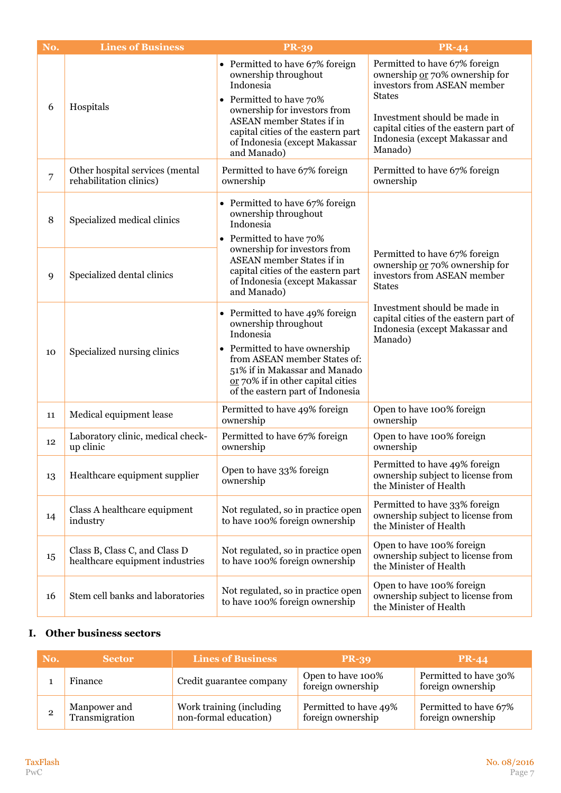| No. | <b>Lines of Business</b>                                         | <b>PR-39</b>                                                                                                                                                                                                                                              | $PR-44$                                                                                                                                                                                                                               |
|-----|------------------------------------------------------------------|-----------------------------------------------------------------------------------------------------------------------------------------------------------------------------------------------------------------------------------------------------------|---------------------------------------------------------------------------------------------------------------------------------------------------------------------------------------------------------------------------------------|
| 6   | Hospitals                                                        | • Permitted to have 67% foreign<br>ownership throughout<br>Indonesia<br>• Permitted to have 70%<br>ownership for investors from<br><b>ASEAN</b> member States if in<br>capital cities of the eastern part<br>of Indonesia (except Makassar<br>and Manado) | Permitted to have 67% foreign<br>ownership or 70% ownership for<br>investors from ASEAN member<br><b>States</b><br>Investment should be made in<br>capital cities of the eastern part of<br>Indonesia (except Makassar and<br>Manado) |
| 7   | Other hospital services (mental<br>rehabilitation clinics)       | Permitted to have 67% foreign<br>ownership                                                                                                                                                                                                                | Permitted to have 67% foreign<br>ownership                                                                                                                                                                                            |
| 8   | Specialized medical clinics                                      | • Permitted to have 67% foreign<br>ownership throughout<br>Indonesia<br>• Permitted to have 70%                                                                                                                                                           |                                                                                                                                                                                                                                       |
| 9   | Specialized dental clinics                                       | ownership for investors from<br><b>ASEAN</b> member States if in<br>capital cities of the eastern part<br>of Indonesia (except Makassar<br>and Manado)                                                                                                    | Permitted to have 67% foreign<br>ownership or 70% ownership for<br>investors from ASEAN member<br><b>States</b>                                                                                                                       |
| 10  | Specialized nursing clinics                                      | • Permitted to have 49% foreign<br>ownership throughout<br>Indonesia<br>• Permitted to have ownership<br>from ASEAN member States of:<br>51% if in Makassar and Manado<br>or 70% if in other capital cities<br>of the eastern part of Indonesia           | Investment should be made in<br>capital cities of the eastern part of<br>Indonesia (except Makassar and<br>Manado)                                                                                                                    |
| 11  | Medical equipment lease                                          | Permitted to have 49% foreign<br>ownership                                                                                                                                                                                                                | Open to have 100% foreign<br>ownership                                                                                                                                                                                                |
| 12  | Laboratory clinic, medical check-<br>up clinic                   | Permitted to have 67% foreign<br>ownership                                                                                                                                                                                                                | Open to have 100% foreign<br>ownership                                                                                                                                                                                                |
| 13  | Healthcare equipment supplier                                    | Open to have 33% foreign<br>ownership                                                                                                                                                                                                                     | Permitted to have 49% foreign<br>ownership subject to license from<br>the Minister of Health                                                                                                                                          |
| 14  | Class A healthcare equipment<br>industry                         | Not regulated, so in practice open<br>to have 100% foreign ownership                                                                                                                                                                                      | Permitted to have 33% foreign<br>ownership subject to license from<br>the Minister of Health                                                                                                                                          |
| 15  | Class B, Class C, and Class D<br>healthcare equipment industries | Not regulated, so in practice open<br>to have 100% foreign ownership                                                                                                                                                                                      | Open to have 100% foreign<br>ownership subject to license from<br>the Minister of Health                                                                                                                                              |
| 16  | Stem cell banks and laboratories                                 | Not regulated, so in practice open<br>to have 100% foreign ownership                                                                                                                                                                                      | Open to have 100% foreign<br>ownership subject to license from<br>the Minister of Health                                                                                                                                              |

# **I. Other business sectors**

| No.          | <b>Sector</b>                  | <b>Lines of Business</b>                          | <b>PR-39</b>                               | <b>PR-44</b>                               |
|--------------|--------------------------------|---------------------------------------------------|--------------------------------------------|--------------------------------------------|
|              | Finance                        | Credit guarantee company                          | Open to have 100%<br>foreign ownership     | Permitted to have 30%<br>foreign ownership |
| $\mathbf{2}$ | Manpower and<br>Transmigration | Work training (including<br>non-formal education) | Permitted to have 49%<br>foreign ownership | Permitted to have 67%<br>foreign ownership |